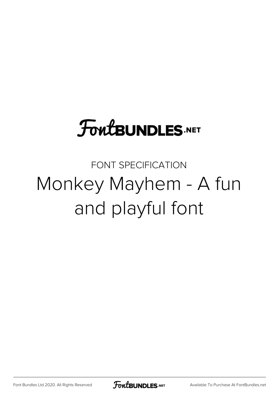### **FoutBUNDLES.NET**

#### FONT SPECIFICATION Monkey Mayhem - A fun and playful font

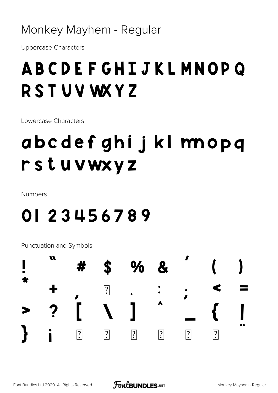Monkey Mayhem - Regular

**Uppercase Characters** 

#### **ABCDEFGHIJKLMNOPQ RSTUVWXYZ**

Lowercase Characters

#### abcdef ghijkl mopq rstuvwxyz

**Numbers** 

#### 0123456789

Punctuation and Symbols

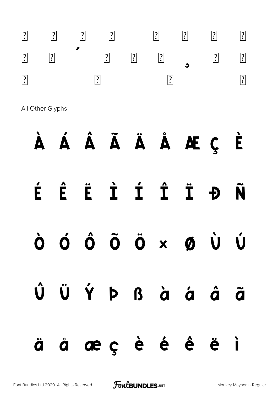

All Other Glyphs

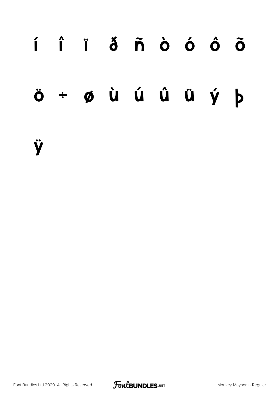## í î ï ð ñ ò ó ô õ ö ÷ ø ù ú û ü ý þ

ÿ

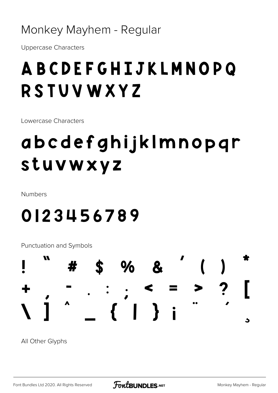Monkey Mayhem - Regular

**Uppercase Characters** 

#### **ABCDEFGHIJKLMNOPQ RSTUVWXYZ**

Lowercase Characters

#### abcdefghijklmnopqr stuvwxyz

Numbers

#### 0123456789

Punctuation and Symbols



All Other Glyphs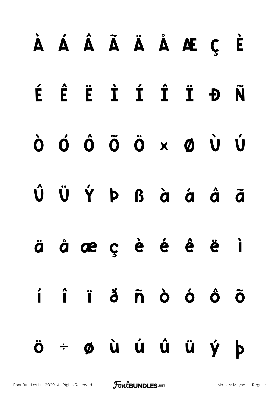# À Á Â Ã Ä Å Æ Ç È É Ê Ë Ì Í Î Ï Ð Ñ Ò Ó Ô Õ Ö × Ø Ù Ú Û Ü Ý Þ ß à á â ã ä å æ ç è é ê ë ì í î ï ð ñ ò ó ô õ ö ÷ ø ù ú û ü ý þ